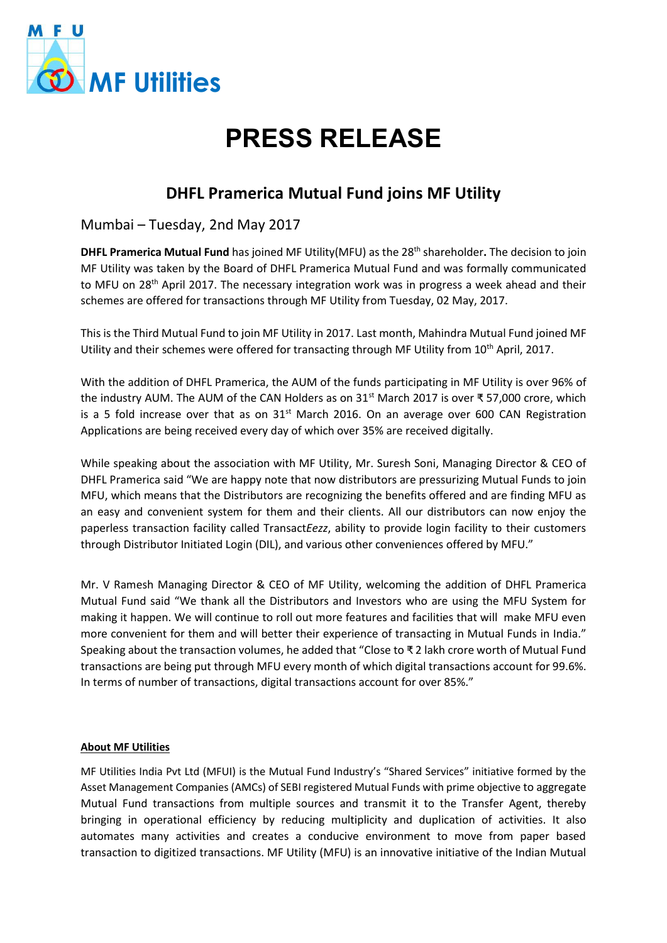

## **PRESS RELEASE**

## **DHFL Pramerica Mutual Fund joins MF Utility**

Mumbai – Tuesday, 2nd May 2017

**DHFL Pramerica Mutual Fund** has joined MF Utility(MFU) as the 28th shareholder**.** The decision to join MF Utility was taken by the Board of DHFL Pramerica Mutual Fund and was formally communicated to MFU on 28<sup>th</sup> April 2017. The necessary integration work was in progress a week ahead and their schemes are offered for transactions through MF Utility from Tuesday, 02 May, 2017.

This is the Third Mutual Fund to join MF Utility in 2017. Last month, Mahindra Mutual Fund joined MF Utility and their schemes were offered for transacting through MF Utility from 10<sup>th</sup> April, 2017.

With the addition of DHFL Pramerica, the AUM of the funds participating in MF Utility is over 96% of the industry AUM. The AUM of the CAN Holders as on 31st March 2017 is over ₹ 57,000 crore, which is a 5 fold increase over that as on  $31^{st}$  March 2016. On an average over 600 CAN Registration Applications are being received every day of which over 35% are received digitally.

While speaking about the association with MF Utility, Mr. Suresh Soni, Managing Director & CEO of DHFL Pramerica said "We are happy note that now distributors are pressurizing Mutual Funds to join MFU, which means that the Distributors are recognizing the benefits offered and are finding MFU as an easy and convenient system for them and their clients. All our distributors can now enjoy the paperless transaction facility called Transact*Eezz*, ability to provide login facility to their customers through Distributor Initiated Login (DIL), and various other conveniences offered by MFU."

Mr. V Ramesh Managing Director & CEO of MF Utility, welcoming the addition of DHFL Pramerica Mutual Fund said "We thank all the Distributors and Investors who are using the MFU System for making it happen. We will continue to roll out more features and facilities that will make MFU even more convenient for them and will better their experience of transacting in Mutual Funds in India." Speaking about the transaction volumes, he added that "Close to ₹ 2 lakh crore worth of Mutual Fund transactions are being put through MFU every month of which digital transactions account for 99.6%. In terms of number of transactions, digital transactions account for over 85%."

## **About MF Utilities**

MF Utilities India Pvt Ltd (MFUI) is the Mutual Fund Industry's "Shared Services" initiative formed by the Asset Management Companies (AMCs) of SEBI registered Mutual Funds with prime objective to aggregate Mutual Fund transactions from multiple sources and transmit it to the Transfer Agent, thereby bringing in operational efficiency by reducing multiplicity and duplication of activities. It also automates many activities and creates a conducive environment to move from paper based transaction to digitized transactions. MF Utility (MFU) is an innovative initiative of the Indian Mutual